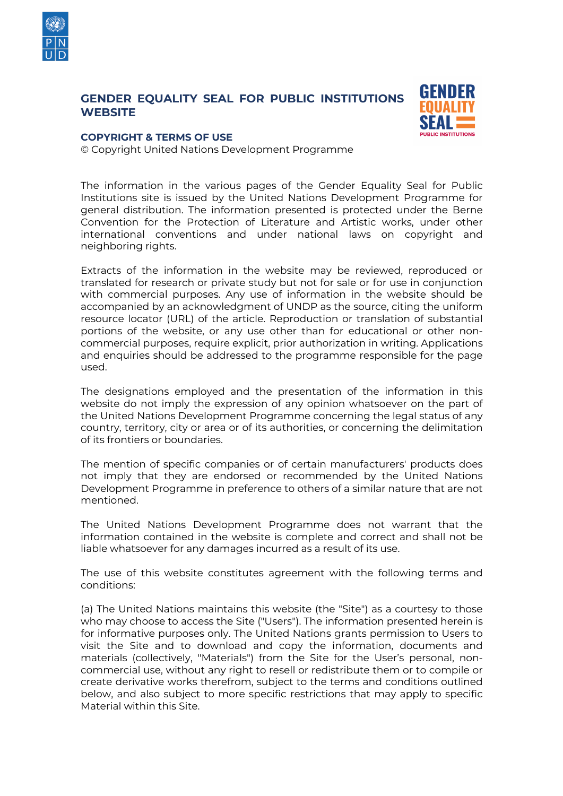

## **GENDER EQUALITY SEAL FOR PUBLIC INSTITUTIONS WEBSITE**



## **COPYRIGHT & TERMS OF USE**

© Copyright United Nations Development Programme

The information in the various pages of the Gender Equality Seal for Public Institutions site is issued by the United Nations Development Programme for general distribution. The information presented is protected under the Berne Convention for the Protection of Literature and Artistic works, under other international conventions and under national laws on copyright and neighboring rights.

Extracts of the information in the website may be reviewed, reproduced or translated for research or private study but not for sale or for use in conjunction with commercial purposes. Any use of information in the website should be accompanied by an acknowledgment of UNDP as the source, citing the uniform resource locator (URL) of the article. Reproduction or translation of substantial portions of the website, or any use other than for educational or other noncommercial purposes, require explicit, prior authorization in writing. Applications and enquiries should be addressed to the programme responsible for the page used.

The designations employed and the presentation of the information in this website do not imply the expression of any opinion whatsoever on the part of the United Nations Development Programme concerning the legal status of any country, territory, city or area or of its authorities, or concerning the delimitation of its frontiers or boundaries.

The mention of specific companies or of certain manufacturers' products does not imply that they are endorsed or recommended by the United Nations Development Programme in preference to others of a similar nature that are not mentioned.

The United Nations Development Programme does not warrant that the information contained in the website is complete and correct and shall not be liable whatsoever for any damages incurred as a result of its use.

The use of this website constitutes agreement with the following terms and conditions:

(a) The United Nations maintains this website (the "Site") as a courtesy to those who may choose to access the Site ("Users"). The information presented herein is for informative purposes only. The United Nations grants permission to Users to visit the Site and to download and copy the information, documents and materials (collectively, "Materials") from the Site for the User's personal, noncommercial use, without any right to resell or redistribute them or to compile or create derivative works therefrom, subject to the terms and conditions outlined below, and also subject to more specific restrictions that may apply to specific Material within this Site.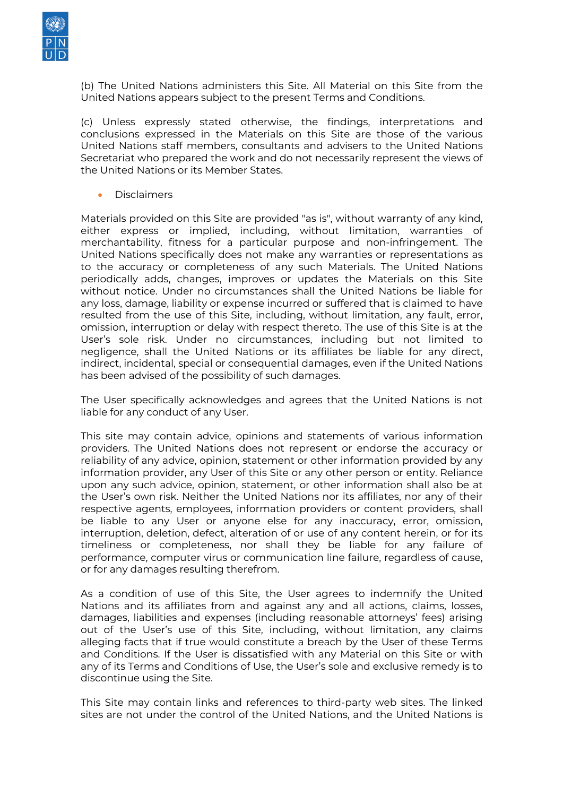

(b) The United Nations administers this Site. All Material on this Site from the United Nations appears subject to the present Terms and Conditions.

(c) Unless expressly stated otherwise, the findings, interpretations and conclusions expressed in the Materials on this Site are those of the various United Nations staff members, consultants and advisers to the United Nations Secretariat who prepared the work and do not necessarily represent the views of the United Nations or its Member States.

• Disclaimers

Materials provided on this Site are provided "as is", without warranty of any kind, either express or implied, including, without limitation, warranties of merchantability, fitness for a particular purpose and non-infringement. The United Nations specifically does not make any warranties or representations as to the accuracy or completeness of any such Materials. The United Nations periodically adds, changes, improves or updates the Materials on this Site without notice. Under no circumstances shall the United Nations be liable for any loss, damage, liability or expense incurred or suffered that is claimed to have resulted from the use of this Site, including, without limitation, any fault, error, omission, interruption or delay with respect thereto. The use of this Site is at the User's sole risk. Under no circumstances, including but not limited to negligence, shall the United Nations or its affiliates be liable for any direct, indirect, incidental, special or consequential damages, even if the United Nations has been advised of the possibility of such damages.

The User specifically acknowledges and agrees that the United Nations is not liable for any conduct of any User.

This site may contain advice, opinions and statements of various information providers. The United Nations does not represent or endorse the accuracy or reliability of any advice, opinion, statement or other information provided by any information provider, any User of this Site or any other person or entity. Reliance upon any such advice, opinion, statement, or other information shall also be at the User's own risk. Neither the United Nations nor its affiliates, nor any of their respective agents, employees, information providers or content providers, shall be liable to any User or anyone else for any inaccuracy, error, omission, interruption, deletion, defect, alteration of or use of any content herein, or for its timeliness or completeness, nor shall they be liable for any failure of performance, computer virus or communication line failure, regardless of cause, or for any damages resulting therefrom.

As a condition of use of this Site, the User agrees to indemnify the United Nations and its affiliates from and against any and all actions, claims, losses, damages, liabilities and expenses (including reasonable attorneys' fees) arising out of the User's use of this Site, including, without limitation, any claims alleging facts that if true would constitute a breach by the User of these Terms and Conditions. If the User is dissatisfied with any Material on this Site or with any of its Terms and Conditions of Use, the User's sole and exclusive remedy is to discontinue using the Site.

This Site may contain links and references to third-party web sites. The linked sites are not under the control of the United Nations, and the United Nations is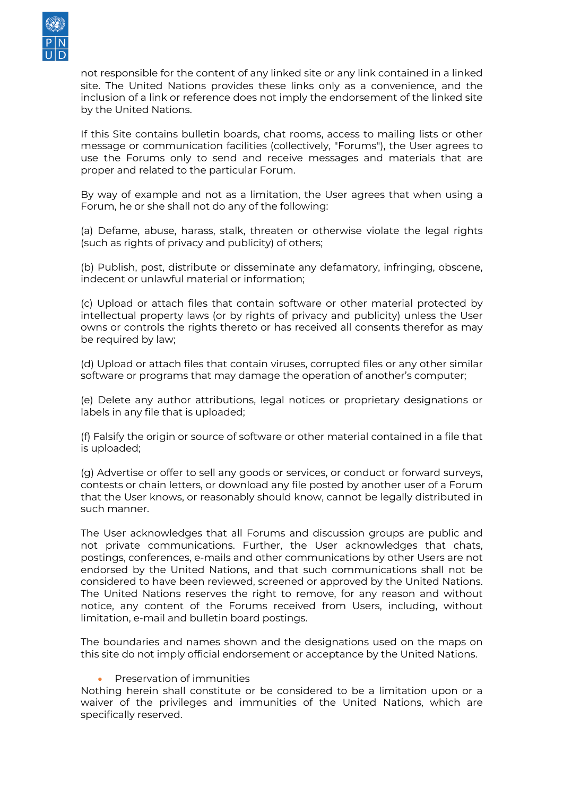

not responsible for the content of any linked site or any link contained in a linked site. The United Nations provides these links only as a convenience, and the inclusion of a link or reference does not imply the endorsement of the linked site by the United Nations.

If this Site contains bulletin boards, chat rooms, access to mailing lists or other message or communication facilities (collectively, "Forums"), the User agrees to use the Forums only to send and receive messages and materials that are proper and related to the particular Forum.

By way of example and not as a limitation, the User agrees that when using a Forum, he or she shall not do any of the following:

(a) Defame, abuse, harass, stalk, threaten or otherwise violate the legal rights (such as rights of privacy and publicity) of others;

(b) Publish, post, distribute or disseminate any defamatory, infringing, obscene, indecent or unlawful material or information;

(c) Upload or attach files that contain software or other material protected by intellectual property laws (or by rights of privacy and publicity) unless the User owns or controls the rights thereto or has received all consents therefor as may be required by law;

(d) Upload or attach files that contain viruses, corrupted files or any other similar software or programs that may damage the operation of another's computer;

(e) Delete any author attributions, legal notices or proprietary designations or labels in any file that is uploaded;

(f) Falsify the origin or source of software or other material contained in a file that is uploaded;

(g) Advertise or offer to sell any goods or services, or conduct or forward surveys, contests or chain letters, or download any file posted by another user of a Forum that the User knows, or reasonably should know, cannot be legally distributed in such manner.

The User acknowledges that all Forums and discussion groups are public and not private communications. Further, the User acknowledges that chats, postings, conferences, e-mails and other communications by other Users are not endorsed by the United Nations, and that such communications shall not be considered to have been reviewed, screened or approved by the United Nations. The United Nations reserves the right to remove, for any reason and without notice, any content of the Forums received from Users, including, without limitation, e-mail and bulletin board postings.

The boundaries and names shown and the designations used on the maps on this site do not imply official endorsement or acceptance by the United Nations.

## • Preservation of immunities

Nothing herein shall constitute or be considered to be a limitation upon or a waiver of the privileges and immunities of the United Nations, which are specifically reserved.